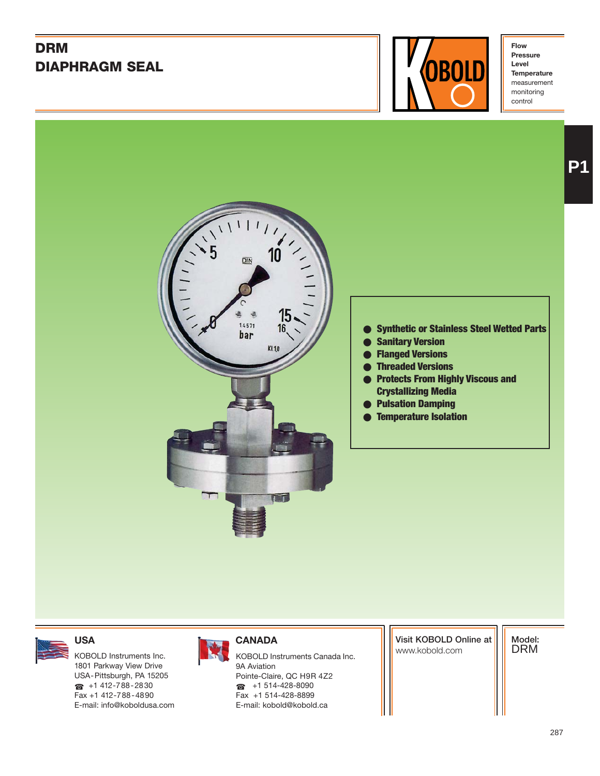# **DRM DIAPHRAGM SEAL**



**Flow Pressure Level Temperature** measurement monitoring control



#### ● **Synthetic or Stainless Steel Wetted Parts**

- **Sanitary Version**
- **Flanged Versions**
- **Threaded Versions**
- **Protects From Highly Viscous and Crystallizing Media**
- **Pulsation Damping**
- **Temperature Isolation**

1801 Parkway View Drive USA-Pittsburgh, PA 15205  $\bullet$  +1 412-788-2830 Fax +1 412-788-4890 E-mail: info@koboldusa.com



KOBOLD Instruments Inc. **KOBOLD Instruments Canada Inc.** And Instruments Canada Inc. 9A Aviation Pointe-Claire, QC H9R 4Z2  $\bullet$  +1 514-428-8090 Fax +1 514-428-8899 E-mail: kobold@kobold.ca

**Visit KOBOLD Online at**

**Model:** DRM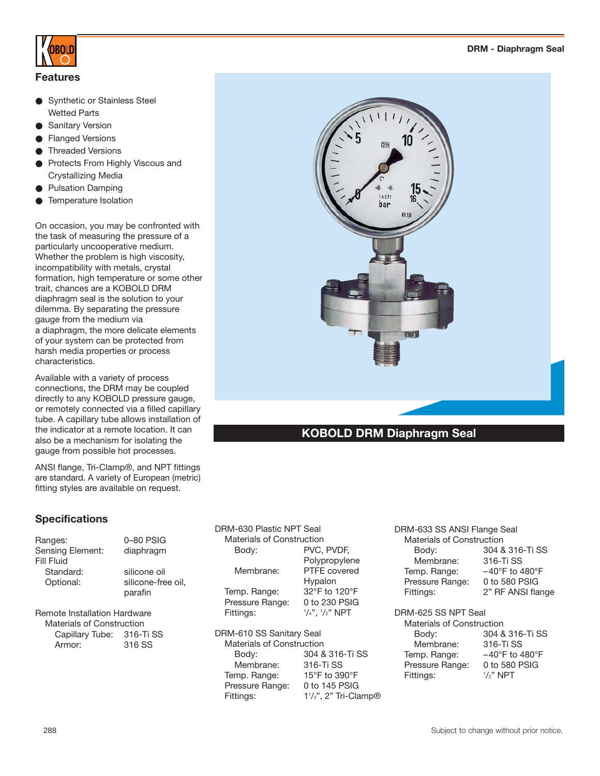

### **Features**

- **Synthetic or Stainless Steel** Wetted Parts
- **Sanitary Version**
- **Flanged Versions**
- **Threaded Versions**
- Protects From Highly Viscous and Crystallizing Media
- **Pulsation Damping**
- Temperature Isolation

On occasion, you may be confronted with the task of measuring the pressure of a particularly uncooperative medium. Whether the problem is high viscosity, incompatibility with metals, crystal formation, high temperature or some other trait, chances are a KOBOLD DRM diaphragm seal is the solution to your dilemma. By separating the pressure gauge from the medium via a diaphragm, the more delicate elements of your system can be protected from harsh media properties or process characteristics.

Available with a variety of process connections, the DRM may be coupled directly to any KOBOLD pressure gauge, or remotely connected via a filled capillary tube. A capillary tube allows installation of the indicator at a remote location. It can also be a mechanism for isolating the gauge from possible hot processes.

ANSI flange, Tri-Clamp®, and NPT fittings are standard. A variety of European (metric) fitting styles are available on request.

### **Specifications**

| Ranges:<br>Sensing Element:<br>Fill Fluid | 0–80 PSIG<br>diaphragm                        |
|-------------------------------------------|-----------------------------------------------|
| Standard:<br>Optional:                    | silicone oil<br>silicone-free oil,<br>parafin |
|                                           |                                               |

Remote Installation Hardware Materials of Construction Capillary Tube: 316-Ti SS Armor: 316 SS

DRM-630 Plastic NPT Seal Materials of Construction Body: PVC, PVDF, Polypropylene Membrane: PTFE covered Hypalon Temp. Range: 32°F to 120°F Pressure Range: 0 to 230 PSIG Fittings: /4", 1 /2" NPT DRM-610 SS Sanitary Seal

Materials of Construction Body: 304 & 316-Ti SS Membrane: 316-Ti SS Temp. Range: 15°F to 390°F Pressure Range: 0 to 145 PSIG Fittings: /2", 2" Tri-Clamp®

DRM-633 SS ANSI Flange Seal Materials of Construction Body: 304 & 316-Ti SS Membrane: 316-Ti SS Temp. Range: -40°F to 480°F Pressure Range: 0 to 580 PSIG Fittings: 2" RF ANSI flange

DRM-625 SS NPT Seal

Materials of Construction Body: 304 & 316-Ti SS Membrane: 316-Ti SS Temp. Range: –40°F to 480°F Pressure Range: 0 to 580 PSIG Fittings: <sup>1</sup>  $1/2$ " NPT

#### **DRM - Diaphragm Seal**

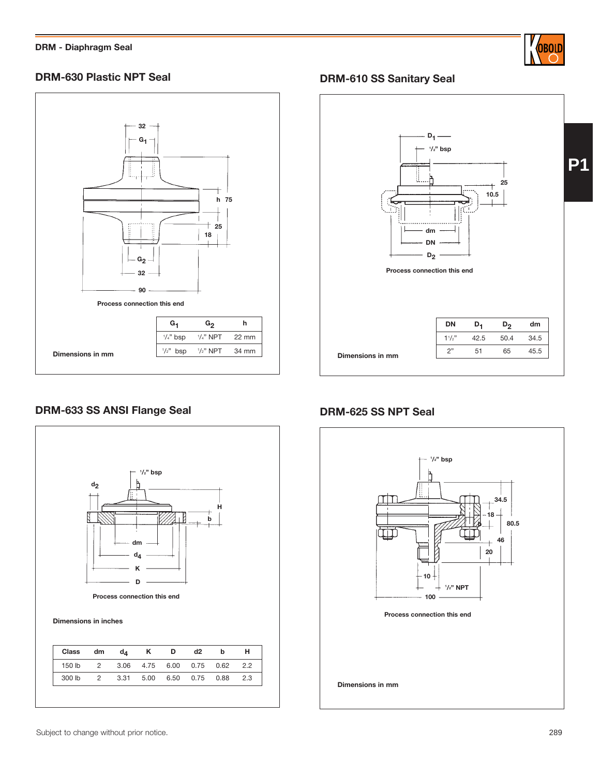

# **DRM-630 Plastic NPT Seal**



## **DRM-610 SS Sanitary Seal**



# **DRM-633 SS ANSI Flange Seal DRM-625 SS NPT Seal**